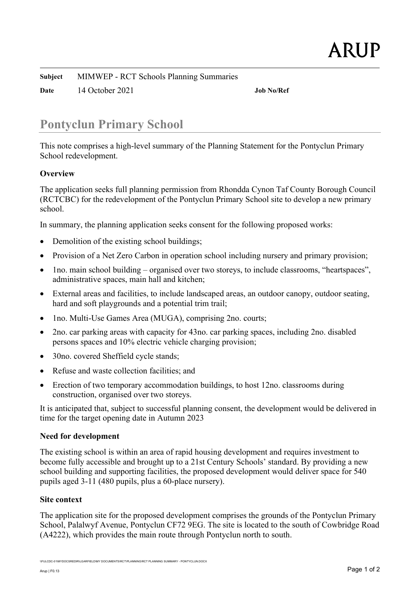Subject MIMWEP - RCT Schools Planning Summaries Date 14 October 2021 Job No/Ref

# Pontyclun Primary School

This note comprises a high-level summary of the Planning Statement for the Pontyclun Primary School redevelopment.

### **Overview**

The application seeks full planning permission from Rhondda Cynon Taf County Borough Council (RCTCBC) for the redevelopment of the Pontyclun Primary School site to develop a new primary school.

In summary, the planning application seeks consent for the following proposed works:

- Demolition of the existing school buildings;
- Provision of a Net Zero Carbon in operation school including nursery and primary provision;
- Ino. main school building organised over two storeys, to include classrooms, "heartspaces", administrative spaces, main hall and kitchen;
- External areas and facilities, to include landscaped areas, an outdoor canopy, outdoor seating, hard and soft playgrounds and a potential trim trail;
- Ino. Multi-Use Games Area (MUGA), comprising 2no. courts;
- 2no. car parking areas with capacity for 43no. car parking spaces, including 2no. disabled persons spaces and 10% electric vehicle charging provision;
- 30no. covered Sheffield cycle stands;
- Refuse and waste collection facilities: and
- Erection of two temporary accommodation buildings, to host 12no. classrooms during construction, organised over two storeys.

It is anticipated that, subject to successful planning consent, the development would be delivered in time for the target opening date in Autumn 2023

## Need for development

The existing school is within an area of rapid housing development and requires investment to become fully accessible and brought up to a 21st Century Schools' standard. By providing a new school building and supporting facilities, the proposed development would deliver space for 540 pupils aged 3-11 (480 pupils, plus a 60-place nursery).

### Site context

The application site for the proposed development comprises the grounds of the Pontyclun Primary School, Palalwyf Avenue, Pontyclun CF72 9EG. The site is located to the south of Cowbridge Road (A4222), which provides the main route through Pontyclun north to south.

\\FULCDC-01\MYDOCSREDIR\LGARFIELD\MY DOCUMENTS\RCT\PLANNING\RCT PLANNING SUMMARY - PONTYCLUN.DOCX